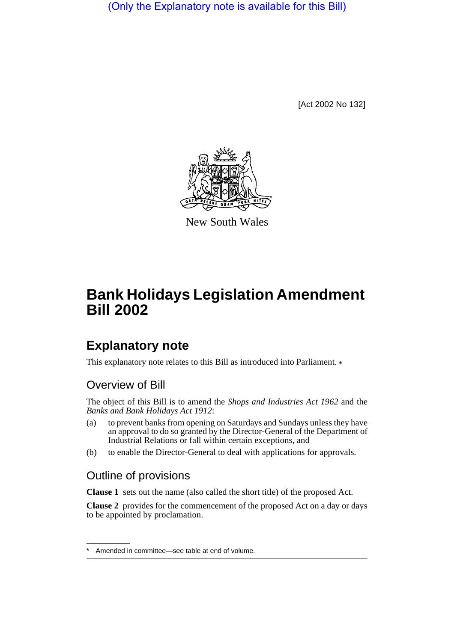(Only the Explanatory note is available for this Bill)

[Act 2002 No 132]



New South Wales

# **Bank Holidays Legislation Amendment Bill 2002**

## **Explanatory note**

This explanatory note relates to this Bill as introduced into Parliament.  $*$ 

## Overview of Bill

The object of this Bill is to amend the *Shops and Industries Act 1962* and the *Banks and Bank Holidays Act 1912*:

- (a) to prevent banks from opening on Saturdays and Sundays unless they have an approval to do so granted by the Director-General of the Department of Industrial Relations or fall within certain exceptions, and
- (b) to enable the Director-General to deal with applications for approvals.

### Outline of provisions

**Clause 1** sets out the name (also called the short title) of the proposed Act.

**Clause 2** provides for the commencement of the proposed Act on a day or days to be appointed by proclamation.

Amended in committee—see table at end of volume.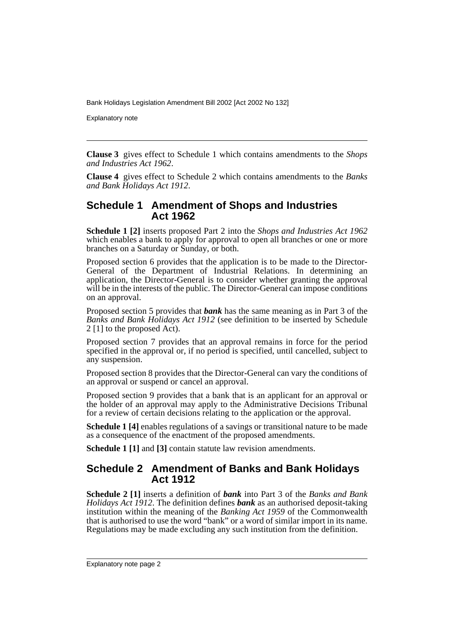Bank Holidays Legislation Amendment Bill 2002 [Act 2002 No 132]

Explanatory note

**Clause 3** gives effect to Schedule 1 which contains amendments to the *Shops and Industries Act 1962*.

**Clause 4** gives effect to Schedule 2 which contains amendments to the *Banks and Bank Holidays Act 1912*.

#### **Schedule 1 Amendment of Shops and Industries Act 1962**

**Schedule 1 [2]** inserts proposed Part 2 into the *Shops and Industries Act 1962* which enables a bank to apply for approval to open all branches or one or more branches on a Saturday or Sunday, or both.

Proposed section 6 provides that the application is to be made to the Director-General of the Department of Industrial Relations. In determining an application, the Director-General is to consider whether granting the approval will be in the interests of the public. The Director-General can impose conditions on an approval.

Proposed section 5 provides that *bank* has the same meaning as in Part 3 of the *Banks and Bank Holidays Act 1912* (see definition to be inserted by Schedule 2 [1] to the proposed Act).

Proposed section 7 provides that an approval remains in force for the period specified in the approval or, if no period is specified, until cancelled, subject to any suspension.

Proposed section 8 provides that the Director-General can vary the conditions of an approval or suspend or cancel an approval.

Proposed section 9 provides that a bank that is an applicant for an approval or the holder of an approval may apply to the Administrative Decisions Tribunal for a review of certain decisions relating to the application or the approval.

**Schedule 1 [4]** enables regulations of a savings or transitional nature to be made as a consequence of the enactment of the proposed amendments.

**Schedule 1 [1]** and **[3]** contain statute law revision amendments.

#### **Schedule 2 Amendment of Banks and Bank Holidays Act 1912**

**Schedule 2 [1]** inserts a definition of *bank* into Part 3 of the *Banks and Bank Holidays Act 1912*. The definition defines *bank* as an authorised deposit-taking institution within the meaning of the *Banking Act 1959* of the Commonwealth that is authorised to use the word "bank" or a word of similar import in its name. Regulations may be made excluding any such institution from the definition.